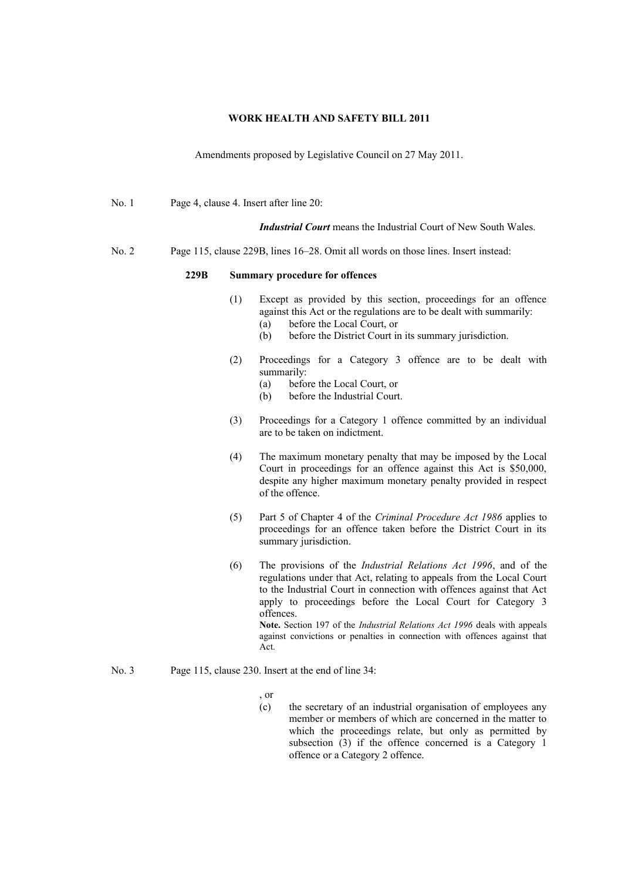## **WORK HEALTH AND SAFETY BILL 2011**

Amendments proposed by Legislative Council on 27 May 2011.

| No. 1 | Page 4, clause 4. Insert after line 20:                                            |                                       |                                                                                                                                                                                                                                                                                                                                                                                                                                                                      |
|-------|------------------------------------------------------------------------------------|---------------------------------------|----------------------------------------------------------------------------------------------------------------------------------------------------------------------------------------------------------------------------------------------------------------------------------------------------------------------------------------------------------------------------------------------------------------------------------------------------------------------|
|       |                                                                                    |                                       | <i>Industrial Court</i> means the Industrial Court of New South Wales.                                                                                                                                                                                                                                                                                                                                                                                               |
| No. 2 | Page 115, clause 229B, lines 16–28. Omit all words on those lines. Insert instead: |                                       |                                                                                                                                                                                                                                                                                                                                                                                                                                                                      |
|       | 229B                                                                               | <b>Summary procedure for offences</b> |                                                                                                                                                                                                                                                                                                                                                                                                                                                                      |
|       |                                                                                    | (1)                                   | Except as provided by this section, proceedings for an offence<br>against this Act or the regulations are to be dealt with summarily:<br>(a)<br>before the Local Court, or<br>(b)<br>before the District Court in its summary jurisdiction.                                                                                                                                                                                                                          |
|       |                                                                                    | (2)                                   | Proceedings for a Category 3 offence are to be dealt with<br>summarily:<br>before the Local Court, or<br>(a)<br>before the Industrial Court.<br>(b)                                                                                                                                                                                                                                                                                                                  |
|       |                                                                                    | (3)                                   | Proceedings for a Category 1 offence committed by an individual<br>are to be taken on indictment.                                                                                                                                                                                                                                                                                                                                                                    |
|       |                                                                                    | (4)                                   | The maximum monetary penalty that may be imposed by the Local<br>Court in proceedings for an offence against this Act is \$50,000,<br>despite any higher maximum monetary penalty provided in respect<br>of the offence.                                                                                                                                                                                                                                             |
|       |                                                                                    | (5)                                   | Part 5 of Chapter 4 of the Criminal Procedure Act 1986 applies to<br>proceedings for an offence taken before the District Court in its<br>summary jurisdiction.                                                                                                                                                                                                                                                                                                      |
|       |                                                                                    | (6)                                   | The provisions of the <i>Industrial Relations Act 1996</i> , and of the<br>regulations under that Act, relating to appeals from the Local Court<br>to the Industrial Court in connection with offences against that Act<br>apply to proceedings before the Local Court for Category 3<br>offences.<br>Note. Section 197 of the Industrial Relations Act 1996 deals with appeals<br>against convictions or penalties in connection with offences against that<br>Act. |
| No. 3 | Page 115, clause 230. Insert at the end of line 34:                                |                                       |                                                                                                                                                                                                                                                                                                                                                                                                                                                                      |

- , or  $(c)$
- the secretary of an industrial organisation of employees any member or members of which are concerned in the matter to which the proceedings relate, but only as permitted by subsection (3) if the offence concerned is a Category 1 offence or a Category 2 offence.